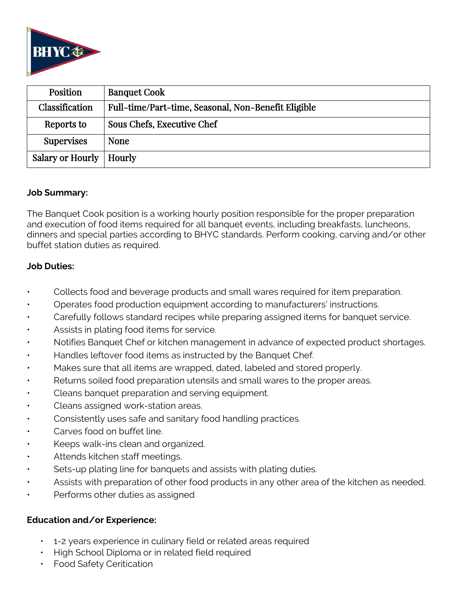

| Position                  | <b>Banquet Cook</b>                                 |
|---------------------------|-----------------------------------------------------|
| Classification            | Full-time/Part-time, Seasonal, Non-Benefit Eligible |
| Reports to                | Sous Chefs, Executive Chef                          |
| <b>Supervises</b>         | <b>None</b>                                         |
| Salary or Hourly   Hourly |                                                     |

### **Job Summary:**

The Banquet Cook position is a working hourly position responsible for the proper preparation and execution of food items required for all banquet events, including breakfasts, luncheons, dinners and special parties according to BHYC standards. Perform cooking, carving and/or other buffet station duties as required.

### **Job Duties:**

- Collects food and beverage products and small wares required for item preparation.
- Operates food production equipment according to manufacturers' instructions.
- Carefully follows standard recipes while preparing assigned items for banquet service.
- Assists in plating food items for service.
- Notifies Banquet Chef or kitchen management in advance of expected product shortages.
- Handles leftover food items as instructed by the Banquet Chef.
- Makes sure that all items are wrapped, dated, labeled and stored properly.
- Returns soiled food preparation utensils and small wares to the proper areas.
- Cleans banquet preparation and serving equipment.
- Cleans assigned work-station areas.
- Consistently uses safe and sanitary food handling practices.
- Carves food on buffet line.
- Keeps walk-ins clean and organized.
- Attends kitchen staff meetings.
- Sets-up plating line for banquets and assists with plating duties.
- Assists with preparation of other food products in any other area of the kitchen as needed.
- Performs other duties as assigned

### **Education and/or Experience:**

- 1-2 years experience in culinary field or related areas required
- High School Diploma or in related field required
- Food Safety Ceritication